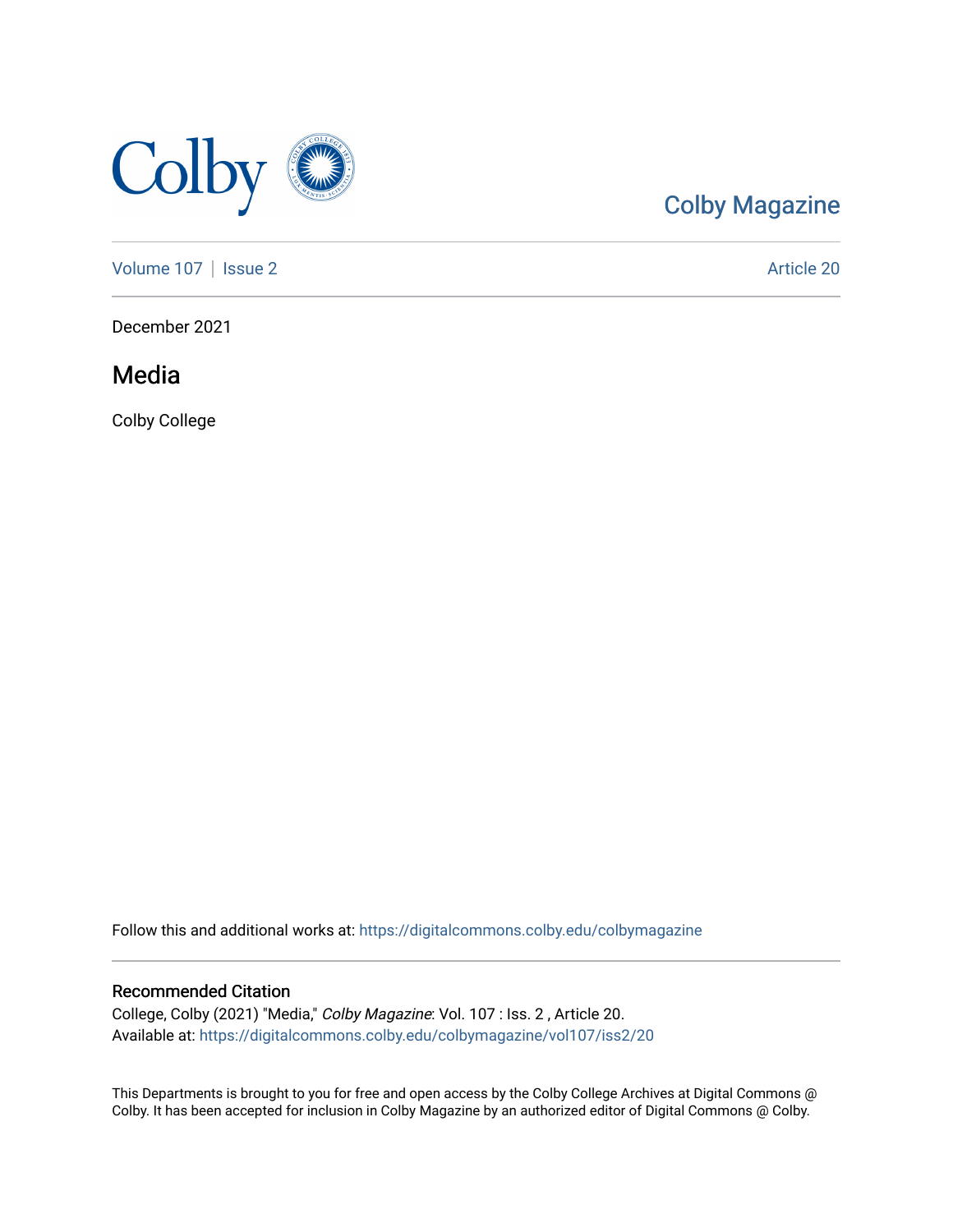

#### [Colby Magazine](https://digitalcommons.colby.edu/colbymagazine)

[Volume 107](https://digitalcommons.colby.edu/colbymagazine/vol107) | [Issue 2](https://digitalcommons.colby.edu/colbymagazine/vol107/iss2) Article 20

December 2021

Media

Colby College

Follow this and additional works at: [https://digitalcommons.colby.edu/colbymagazine](https://digitalcommons.colby.edu/colbymagazine?utm_source=digitalcommons.colby.edu%2Fcolbymagazine%2Fvol107%2Fiss2%2F20&utm_medium=PDF&utm_campaign=PDFCoverPages)

#### Recommended Citation

College, Colby (2021) "Media," Colby Magazine: Vol. 107 : Iss. 2 , Article 20. Available at: [https://digitalcommons.colby.edu/colbymagazine/vol107/iss2/20](https://digitalcommons.colby.edu/colbymagazine/vol107/iss2/20?utm_source=digitalcommons.colby.edu%2Fcolbymagazine%2Fvol107%2Fiss2%2F20&utm_medium=PDF&utm_campaign=PDFCoverPages)

This Departments is brought to you for free and open access by the Colby College Archives at Digital Commons @ Colby. It has been accepted for inclusion in Colby Magazine by an authorized editor of Digital Commons @ Colby.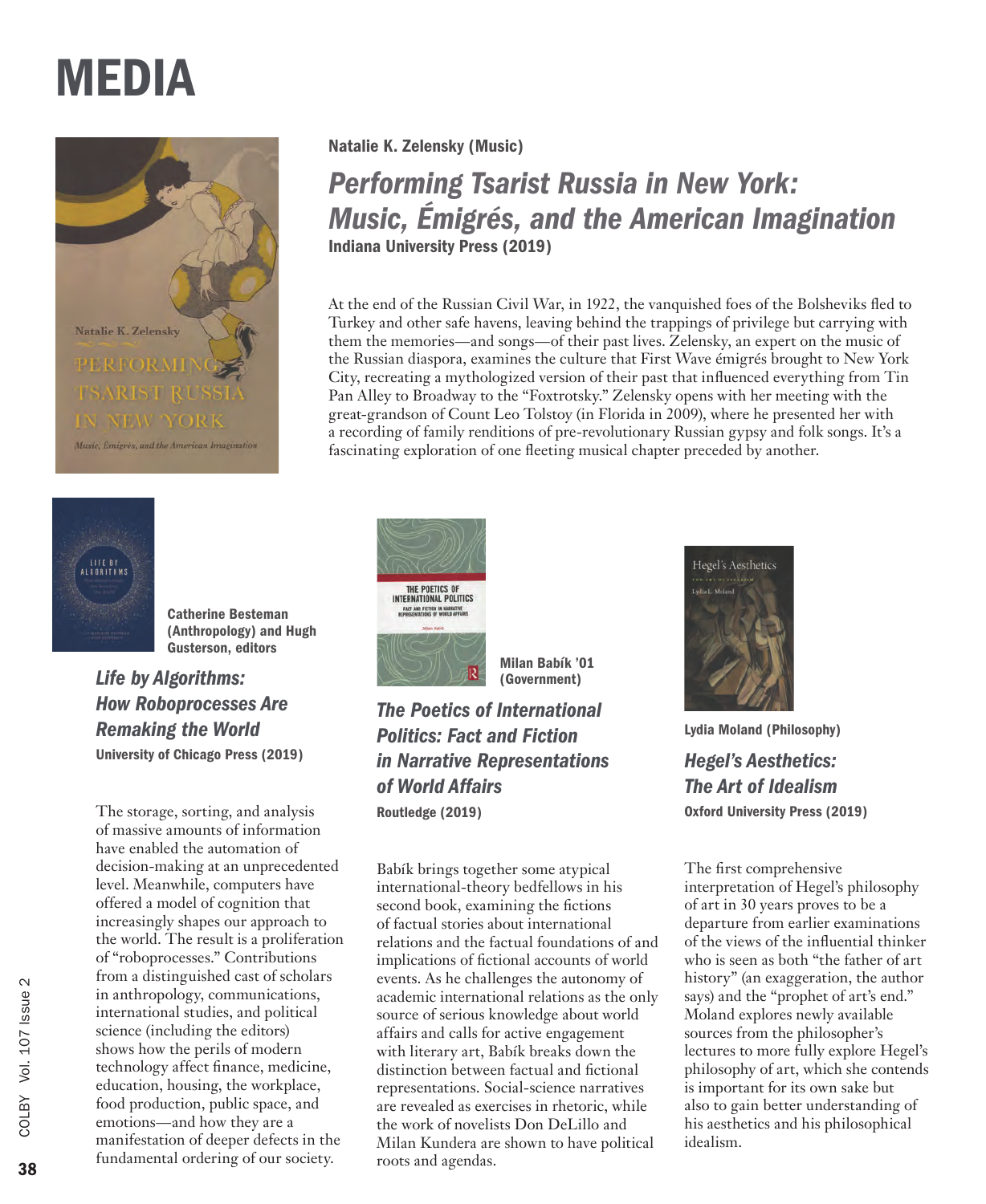Natalie K. Zelensky Music, Émigrés, and the Ameri



Catherine Besteman (Anthropology) and Hugh Gusterson, editors

*Life by Algorithms: How Roboprocesses Are Remaking the World* University of Chicago Press (2019)

The storage, sorting, and analysis of massive amounts of information have enabled the automation of decision-making at an unprecedented level. Meanwhile, computers have offered a model of cognition that increasingly shapes our approach to the world. The result is a proliferation of "roboprocesses." Contributions from a distinguished cast of scholars in anthropology, communications, international studies, and political science (including the editors) shows how the perils of modern technology affect finance, medicine, education, housing, the workplace, food production, public space, and emotions—and how they are a manifestation of deeper defects in the fundamental ordering of our society.

Natalie K. Zelensky (Music)

*Performing Tsarist Russia in New York: Music, Émigrés, and the American Imagination* Indiana University Press (2019)

At the end of the Russian Civil War, in 1922, the vanquished foes of the Bolsheviks fled to Turkey and other safe havens, leaving behind the trappings of privilege but carrying with them the memories—and songs—of their past lives. Zelensky, an expert on the music of the Russian diaspora, examines the culture that First Wave émigrés brought to New York City, recreating a mythologized version of their past that influenced everything from Tin Pan Alley to Broadway to the "Foxtrotsky." Zelensky opens with her meeting with the great-grandson of Count Leo Tolstoy (in Florida in 2009), where he presented her with a recording of family renditions of pre-revolutionary Russian gypsy and folk songs. It's a fascinating exploration of one fleeting musical chapter preceded by another.



Milan Babík '01 (Government)

*The Poetics of International Politics: Fact and Fiction in Narrative Representations of World Affairs* Routledge (2019)

Babík brings together some atypical international-theory bedfellows in his second book, examining the fictions of factual stories about international relations and the factual foundations of and implications of fictional accounts of world events. As he challenges the autonomy of academic international relations as the only source of serious knowledge about world affairs and calls for active engagement with literary art, Babík breaks down the distinction between factual and fictional representations. Social-science narratives are revealed as exercises in rhetoric, while the work of novelists Don DeLillo and Milan Kundera are shown to have political roots and agendas.



Lydia Moland (Philosophy)

*Hegel's Aesthetics: The Art of Idealism* Oxford University Press (2019)

The first comprehensive interpretation of Hegel's philosophy of art in 30 years proves to be a departure from earlier examinations of the views of the influential thinker who is seen as both "the father of art history" (an exaggeration, the author says) and the "prophet of art's end." Moland explores newly available sources from the philosopher's lectures to more fully explore Hegel's philosophy of art, which she contends is important for its own sake but also to gain better understanding of his aesthetics and his philosophical idealism.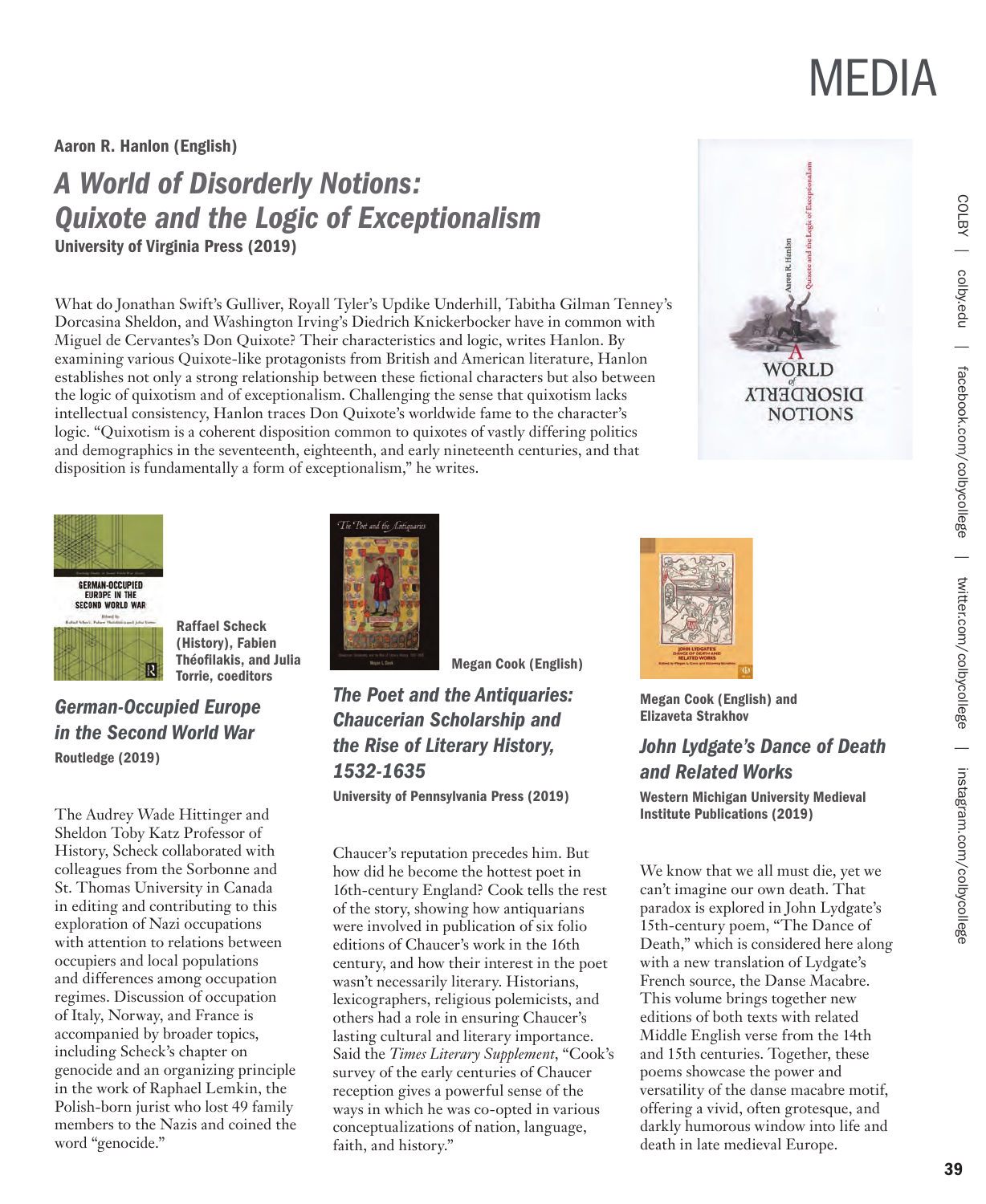Aaron R. Hanlon (English)

### *A World of Disorderly Notions: Quixote and the Logic of Exceptionalism* University of Virginia Press (2019)

What do Jonathan Swift's Gulliver, Royall Tyler's Updike Underhill, Tabitha Gilman Tenney's Dorcasina Sheldon, and Washington Irving's Diedrich Knickerbocker have in common with Miguel de Cervantes's Don Quixote? Their characteristics and logic, writes Hanlon. By examining various Quixote-like protagonists from British and American literature, Hanlon establishes not only a strong relationship between these fictional characters but also between the logic of quixotism and of exceptionalism. Challenging the sense that quixotism lacks intellectual consistency, Hanlon traces Don Quixote's worldwide fame to the character's logic. "Quixotism is a coherent disposition common to quixotes of vastly differing politics and demographics in the seventeenth, eighteenth, and early nineteenth centuries, and that disposition is fundamentally a form of exceptionalism," he writes.



**DISORDERTA NOTIONS** 



Raffael Scheck (History), Fabien Théofilakis, and Julia Torrie, coeditors

*German-Occupied Europe in the Second World War* Routledge (2019)

The Audrey Wade Hittinger and Sheldon Toby Katz Professor of History, Scheck collaborated with colleagues from the Sorbonne and St. Thomas University in Canada in editing and contributing to this exploration of Nazi occupations with attention to relations between occupiers and local populations and differences among occupation regimes. Discussion of occupation of Italy, Norway, and France is accompanied by broader topics, including Scheck's chapter on genocide and an organizing principle in the work of Raphael Lemkin, the Polish-born jurist who lost 49 family members to the Nazis and coined the word "genocide."



Megan Cook (English)

#### *The Poet and the Antiquaries: Chaucerian Scholarship and the Rise of Literary History, 1532-1635*

University of Pennsylvania Press (2019)

Chaucer's reputation precedes him. But how did he become the hottest poet in 16th-century England? Cook tells the rest of the story, showing how antiquarians were involved in publication of six folio editions of Chaucer's work in the 16th century, and how their interest in the poet wasn't necessarily literary. Historians, lexicographers, religious polemicists, and others had a role in ensuring Chaucer's lasting cultural and literary importance. Said the *Times Literary Supplement*, "Cook's survey of the early centuries of Chaucer reception gives a powerful sense of the ways in which he was co-opted in various conceptualizations of nation, language, faith, and history."



Megan Cook (English) and Elizaveta Strakhov

#### *John Lydgate's Dance of Death and Related Works*

Western Michigan University Medieval Institute Publications (2019)

We know that we all must die, yet we can't imagine our own death. That paradox is explored in John Lydgate's 15th-century poem, "The Dance of Death," which is considered here along with a new translation of Lydgate's French source, the Danse Macabre. This volume brings together new editions of both texts with related Middle English verse from the 14th and 15th centuries. Together, these poems showcase the power and versatility of the danse macabre motif, offering a vivid, often grotesque, and darkly humorous window into life and death in late medieval Europe.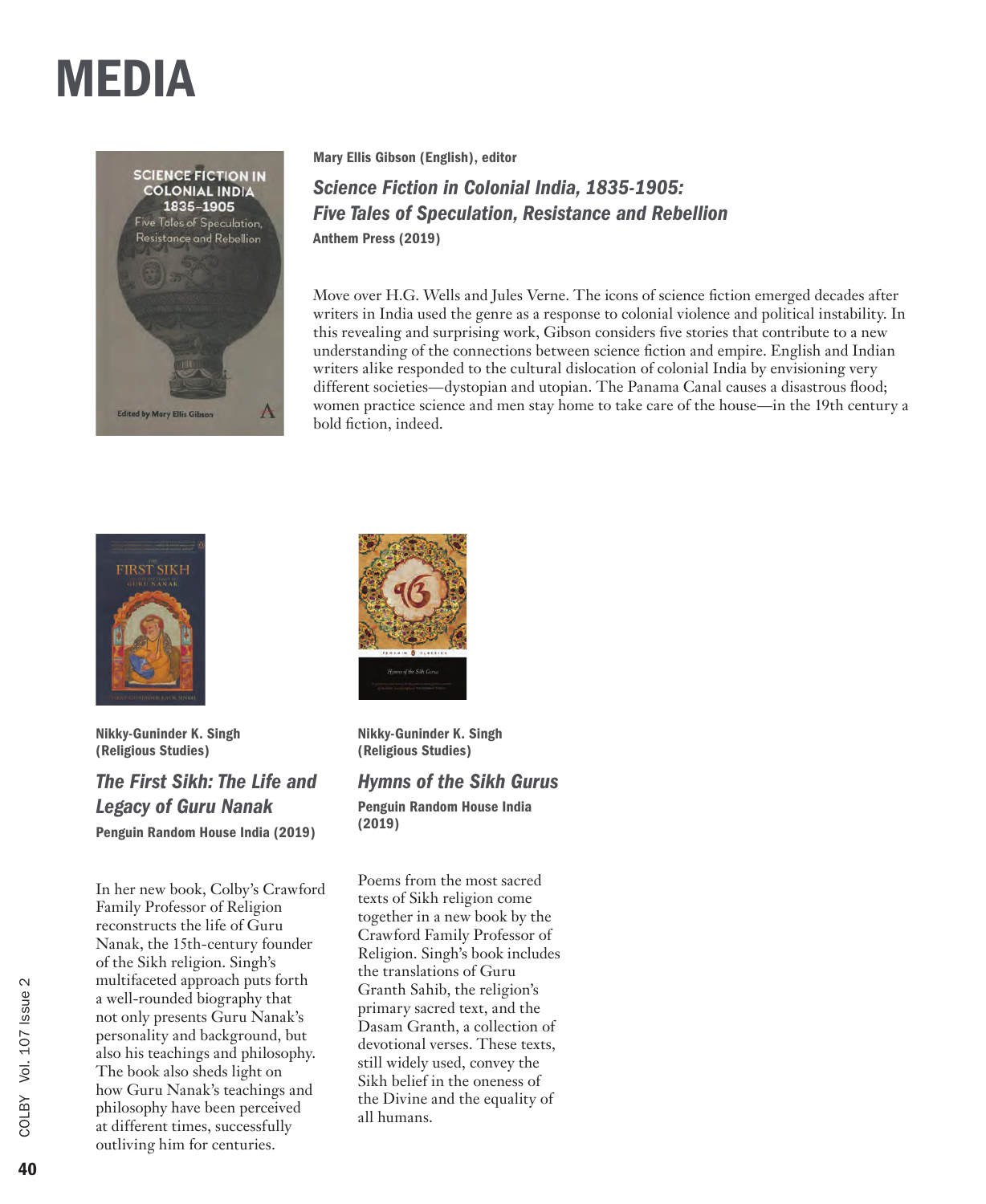

Mary Ellis Gibson (English), editor

*Science Fiction in Colonial India, 1835-1905: Five Tales of Speculation, Resistance and Rebellion* Anthem Press (2019)

Move over H.G. Wells and Jules Verne. The icons of science fiction emerged decades after writers in India used the genre as a response to colonial violence and political instability. In this revealing and surprising work, Gibson considers five stories that contribute to a new understanding of the connections between science fiction and empire. English and Indian writers alike responded to the cultural dislocation of colonial India by envisioning very different societies—dystopian and utopian. The Panama Canal causes a disastrous flood; women practice science and men stay home to take care of the house—in the 19th century a bold fiction, indeed.



Nikky-Guninder K. Singh (Religious Studies)

*The First Sikh: The Life and Legacy of Guru Nanak* Penguin Random House India (2019)

In her new book, Colby's Crawford Family Professor of Religion reconstructs the life of Guru Nanak, the 15th-century founder of the Sikh religion. Singh's multifaceted approach puts forth a well-rounded biography that not only presents Guru Nanak's personality and background, but also his teachings and philosophy. The book also sheds light on how Guru Nanak's teachings and philosophy have been perceived at different times, successfully outliving him for centuries.



Nikky-Guninder K. Singh (Religious Studies)

*Hymns of the Sikh Gurus* 

Penguin Random House India (2019)

Poems from the most sacred texts of Sikh religion come together in a new book by the Crawford Family Professor of Religion. Singh's book includes the translations of Guru Granth Sahib, the religion's primary sacred text, and the Dasam Granth, a collection of devotional verses. These texts, still widely used, convey the Sikh belief in the oneness of the Divine and the equality of all humans.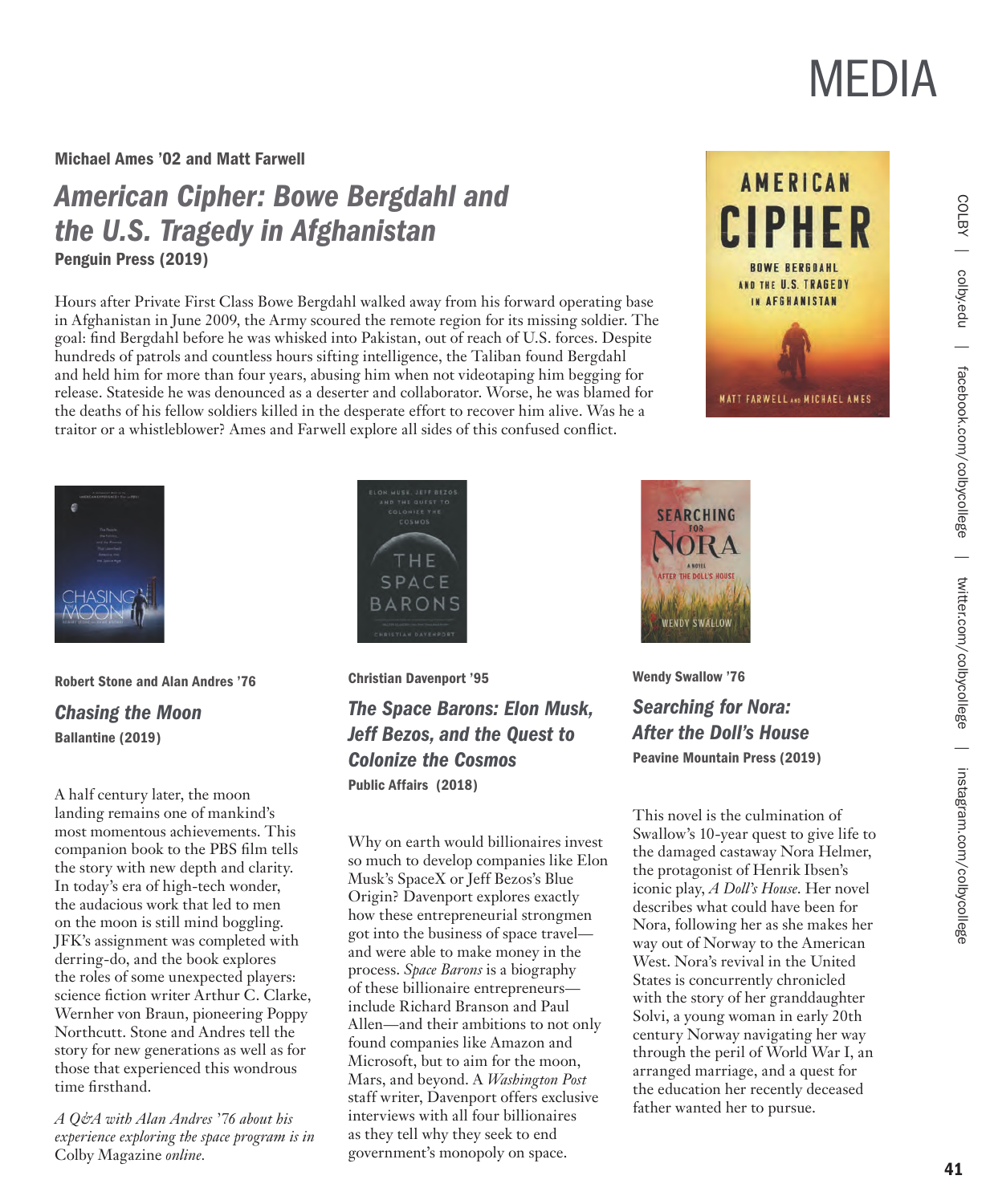Michael Ames '02 and Matt Farwell

### *American Cipher: Bowe Bergdahl and the U.S. Tragedy in Afghanistan* Penguin Press (2019)

Hours after Private First Class Bowe Bergdahl walked away from his forward operating base in Afghanistan in June 2009, the Army scoured the remote region for its missing soldier. The goal: find Bergdahl before he was whisked into Pakistan, out of reach of U.S. forces. Despite hundreds of patrols and countless hours sifting intelligence, the Taliban found Bergdahl and held him for more than four years, abusing him when not videotaping him begging for release. Stateside he was denounced as a deserter and collaborator. Worse, he was blamed for the deaths of his fellow soldiers killed in the desperate effort to recover him alive. Was he a traitor or a whistleblower? Ames and Farwell explore all sides of this confused conflict.





Robert Stone and Alan Andres '76 *Chasing the Moon* Ballantine (2019)

A half century later, the moon landing remains one of mankind's most momentous achievements. This companion book to the PBS film tells the story with new depth and clarity. In today's era of high-tech wonder, the audacious work that led to men on the moon is still mind boggling. JFK's assignment was completed with derring-do, and the book explores the roles of some unexpected players: science fiction writer Arthur C. Clarke, Wernher von Braun, pioneering Poppy Northcutt. Stone and Andres tell the story for new generations as well as for those that experienced this wondrous time firsthand.

*A Q&A with Alan Andres '76 about his experience exploring the space program is in*  Colby Magazine *online.* 



Christian Davenport '95

*The Space Barons: Elon Musk, Jeff Bezos, and the Quest to Colonize the Cosmos* Public Affairs (2018)

Why on earth would billionaires invest so much to develop companies like Elon Musk's SpaceX or Jeff Bezos's Blue Origin? Davenport explores exactly how these entrepreneurial strongmen got into the business of space travel and were able to make money in the process. *Space Barons* is a biography of these billionaire entrepreneurs include Richard Branson and Paul Allen—and their ambitions to not only found companies like Amazon and Microsoft, but to aim for the moon, Mars, and beyond. A *Washington Post* staff writer, Davenport offers exclusive interviews with all four billionaires as they tell why they seek to end government's monopoly on space.



Wendy Swallow '76 *Searching for Nora: After the Doll's House* Peavine Mountain Press (2019)

This novel is the culmination of Swallow's 10-year quest to give life to the damaged castaway Nora Helmer, the protagonist of Henrik Ibsen's iconic play, *A Doll's House*. Her novel describes what could have been for Nora, following her as she makes her way out of Norway to the American West. Nora's revival in the United States is concurrently chronicled with the story of her granddaughter Solvi, a young woman in early 20th century Norway navigating her way through the peril of World War I, an arranged marriage, and a quest for the education her recently deceased father wanted her to pursue.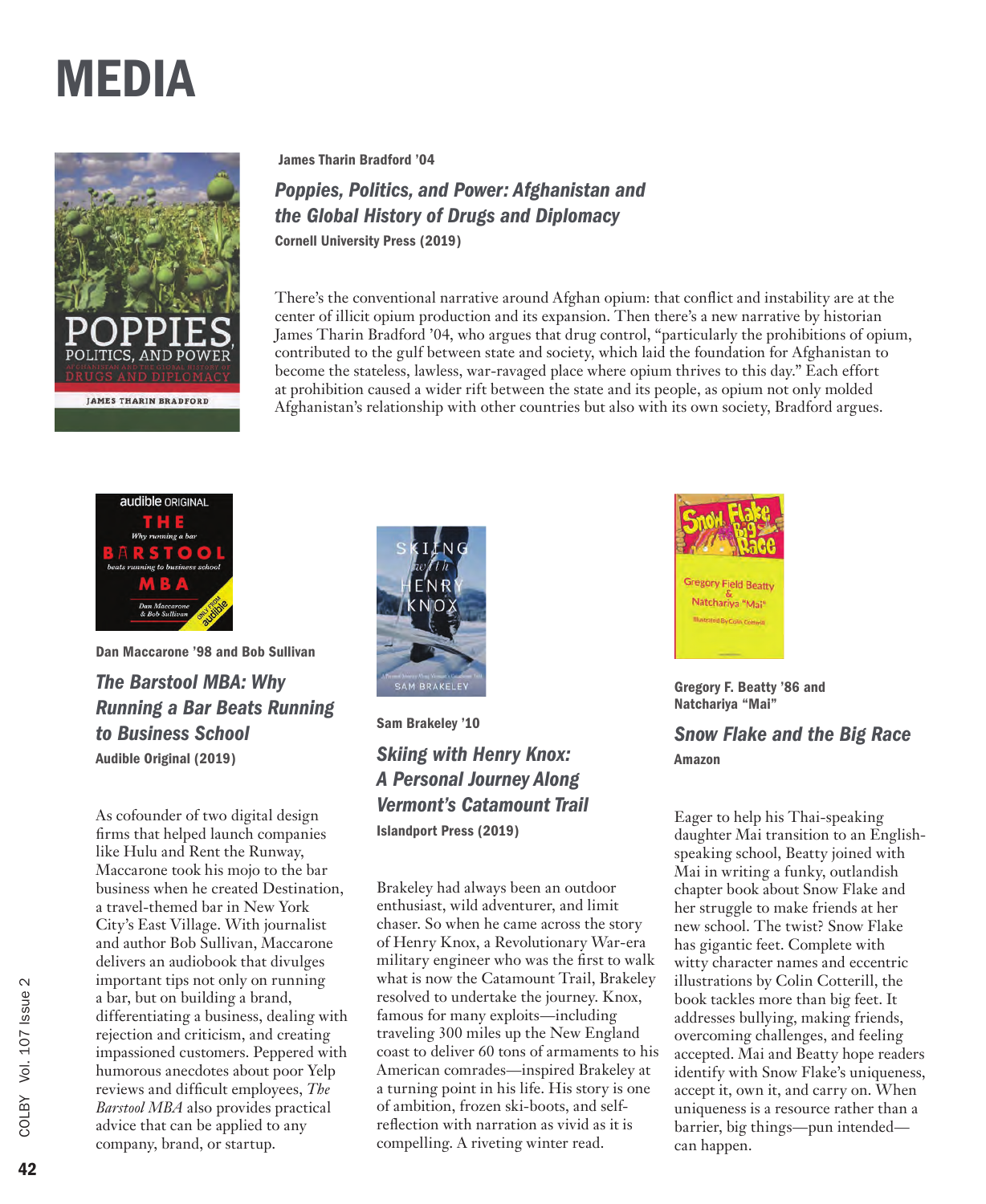

James Tharin Bradford '04

*Poppies, Politics, and Power: Afghanistan and the Global History of Drugs and Diplomacy*  Cornell University Press (2019)

There's the conventional narrative around Afghan opium: that conflict and instability are at the center of illicit opium production and its expansion. Then there's a new narrative by historian James Tharin Bradford '04, who argues that drug control, "particularly the prohibitions of opium, contributed to the gulf between state and society, which laid the foundation for Afghanistan to become the stateless, lawless, war-ravaged place where opium thrives to this day." Each effort at prohibition caused a wider rift between the state and its people, as opium not only molded Afghanistan's relationship with other countries but also with its own society, Bradford argues.



Dan Maccarone '98 and Bob Sullivan *The Barstool MBA: Why Running a Bar Beats Running to Business School* Audible Original (2019)

As cofounder of two digital design firms that helped launch companies like Hulu and Rent the Runway, Maccarone took his mojo to the bar business when he created Destination, a travel-themed bar in New York City's East Village. With journalist and author Bob Sullivan, Maccarone delivers an audiobook that divulges important tips not only on running a bar, but on building a brand, differentiating a business, dealing with rejection and criticism, and creating impassioned customers. Peppered with humorous anecdotes about poor Yelp reviews and difficult employees, *The Barstool MBA* also provides practical advice that can be applied to any company, brand, or startup.



Sam Brakeley '10 *Skiing with Henry Knox: A Personal Journey Along Vermont's Catamount Trail* Islandport Press (2019)

Brakeley had always been an outdoor enthusiast, wild adventurer, and limit chaser. So when he came across the story of Henry Knox, a Revolutionary War-era military engineer who was the first to walk what is now the Catamount Trail, Brakeley resolved to undertake the journey. Knox, famous for many exploits—including traveling 300 miles up the New England coast to deliver 60 tons of armaments to his American comrades—inspired Brakeley at a turning point in his life. His story is one of ambition, frozen ski-boots, and selfreflection with narration as vivid as it is compelling. A riveting winter read.



Gregory F. Beatty '86 and Natchariya "Mai"

*Snow Flake and the Big Race*  Amazon

Eager to help his Thai-speaking daughter Mai transition to an Englishspeaking school, Beatty joined with Mai in writing a funky, outlandish chapter book about Snow Flake and her struggle to make friends at her new school. The twist? Snow Flake has gigantic feet. Complete with witty character names and eccentric illustrations by Colin Cotterill, the book tackles more than big feet. It addresses bullying, making friends, overcoming challenges, and feeling accepted. Mai and Beatty hope readers identify with Snow Flake's uniqueness, accept it, own it, and carry on. When uniqueness is a resource rather than a barrier, big things—pun intended can happen.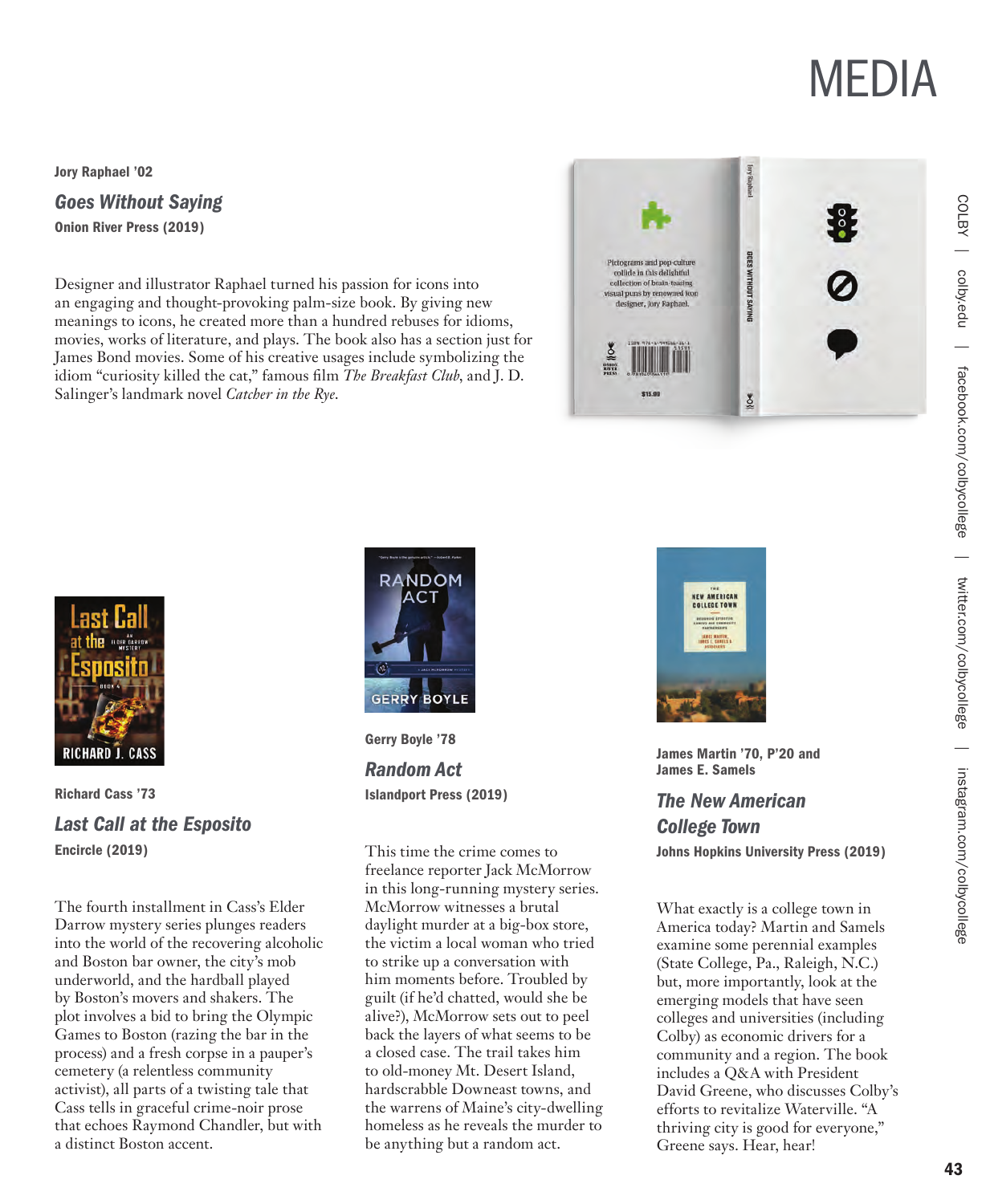Jory Raphael '02

### *Goes Without Saying*

Onion River Press (2019)

Designer and illustrator Raphael turned his passion for icons into an engaging and thought-provoking palm-size book. By giving new meanings to icons, he created more than a hundred rebuses for idioms, movies, works of literature, and plays. The book also has a section just for James Bond movies. Some of his creative usages include symbolizing the idiom "curiosity killed the cat," famous film *The Breakfast Club*, and J. D. Salinger's landmark novel *Catcher in the Rye*.





Richard Cass '73 *Last Call at the Esposito* Encircle (2019)

The fourth installment in Cass's Elder Darrow mystery series plunges readers into the world of the recovering alcoholic and Boston bar owner, the city's mob underworld, and the hardball played by Boston's movers and shakers. The plot involves a bid to bring the Olympic Games to Boston (razing the bar in the process) and a fresh corpse in a pauper's cemetery (a relentless community activist), all parts of a twisting tale that Cass tells in graceful crime-noir prose that echoes Raymond Chandler, but with a distinct Boston accent.



Gerry Boyle '78

*Random Act* Islandport Press (2019)

This time the crime comes to freelance reporter Jack McMorrow in this long-running mystery series. McMorrow witnesses a brutal daylight murder at a big-box store, the victim a local woman who tried to strike up a conversation with him moments before. Troubled by guilt (if he'd chatted, would she be alive?), McMorrow sets out to peel back the layers of what seems to be a closed case. The trail takes him to old-money Mt. Desert Island, hardscrabble Downeast towns, and the warrens of Maine's city-dwelling homeless as he reveals the murder to be anything but a random act.



James Martin '70, P'20 and James E. Samels

*The New American College Town* Johns Hopkins University Press (2019)

What exactly is a college town in America today? Martin and Samels examine some perennial examples (State College, Pa., Raleigh, N.C.) but, more importantly, look at the emerging models that have seen colleges and universities (including Colby) as economic drivers for a community and a region. The book includes a Q&A with President David Greene, who discusses Colby's efforts to revitalize Waterville. "A thriving city is good for everyone," Greene says. Hear, hear!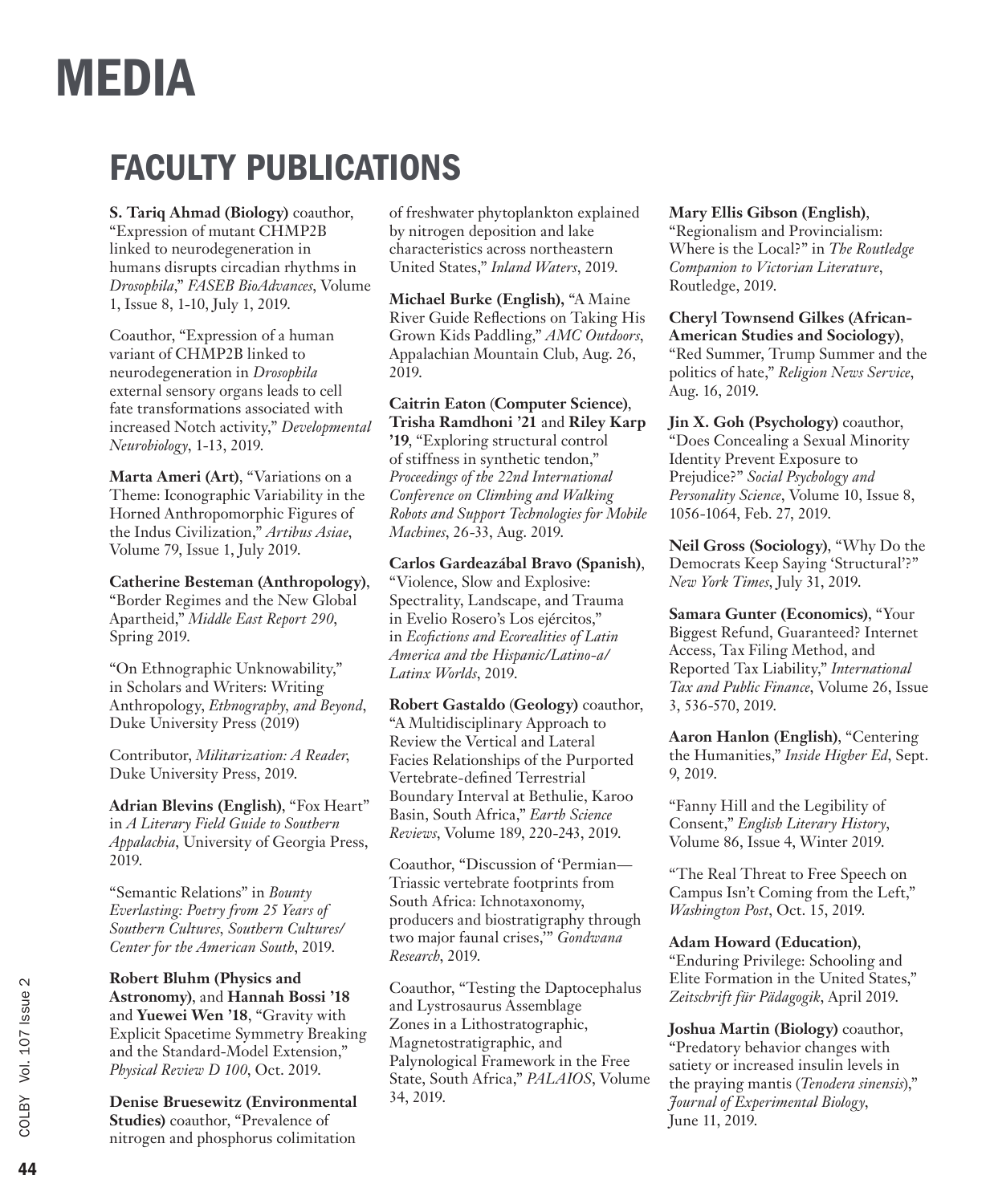### FACULTY PUBLICATIONS

**S. Tariq Ahmad (Biology)** coauthor,

"Expression of mutant CHMP2B linked to neurodegeneration in humans disrupts circadian rhythms in *Drosophila*," *FASEB BioAdvances*, Volume 1, Issue 8, 1-10, July 1, 2019.

Coauthor, "Expression of a human variant of CHMP2B linked to neurodegeneration in *Drosophila* external sensory organs leads to cell fate transformations associated with increased Notch activity," *Developmental Neurobiology*, 1-13, 2019.

**Marta Ameri (Art)**, "Variations on a Theme: Iconographic Variability in the Horned Anthropomorphic Figures of the Indus Civilization," *Artibus Asiae*, Volume 79, Issue 1, July 2019.

**Catherine Besteman (Anthropology)**, "Border Regimes and the New Global Apartheid," *Middle East Report 290*, Spring 2019.

"On Ethnographic Unknowability," in Scholars and Writers: Writing Anthropology, *Ethnography, and Beyond*, Duke University Press (2019)

Contributor, *Militarization: A Reader*, Duke University Press, 2019.

**Adrian Blevins (English)**, "Fox Heart" in *A Literary Field Guide to Southern Appalachia*, University of Georgia Press, 2019.

"Semantic Relations" in *Bounty Everlasting: Poetry from 25 Years of Southern Cultures, Southern Cultures/ Center for the American South*, 2019.

**Robert Bluhm (Physics and Astronomy)**, and **Hannah Bossi '18** and **Yuewei Wen '18**, "Gravity with Explicit Spacetime Symmetry Breaking and the Standard-Model Extension," *Physical Review D 100*, Oct. 2019.

**Denise Bruesewitz (Environmental Studies)** coauthor, "Prevalence of nitrogen and phosphorus colimitation

of freshwater phytoplankton explained by nitrogen deposition and lake characteristics across northeastern United States," *Inland Waters*, 2019.

**Michael Burke (English),** "A Maine River Guide Reflections on Taking His Grown Kids Paddling," *AMC Outdoors*, Appalachian Mountain Club, Aug. 26, 2019.

**Caitrin Eaton** (**Computer Science)**, **Trisha Ramdhoni '21** and **Riley Karp '19**, "Exploring structural control of stiffness in synthetic tendon," *Proceedings of the 22nd International Conference on Climbing and Walking Robots and Support Technologies for Mobile Machines*, 26-33, Aug. 2019.

**Carlos Gardeazábal Bravo (Spanish)**, "Violence, Slow and Explosive: Spectrality, Landscape, and Trauma in Evelio Rosero's Los ejércitos," in *Ecofictions and Ecorealities of Latin America and the Hispanic/Latino-a/ Latinx Worlds*, 2019.

**Robert Gastaldo** (**Geology)** coauthor, "A Multidisciplinary Approach to Review the Vertical and Lateral Facies Relationships of the Purported Vertebrate-defined Terrestrial Boundary Interval at Bethulie, Karoo Basin, South Africa," *Earth Science Reviews*, Volume 189, 220-243, 2019.

Coauthor, "Discussion of 'Permian— Triassic vertebrate footprints from South Africa: Ichnotaxonomy, producers and biostratigraphy through two major faunal crises,'" *Gondwana Research*, 2019.

Coauthor, "Testing the Daptocephalus and Lystrosaurus Assemblage Zones in a Lithostratographic, Magnetostratigraphic, and Palynological Framework in the Free State, South Africa," *PALAIOS*, Volume 34, 2019.

**Mary Ellis Gibson (English)**,

"Regionalism and Provincialism: Where is the Local?" in *The Routledge Companion to Victorian Literature*, Routledge, 2019.

**Cheryl Townsend Gilkes (African-American Studies and Sociology)**, "Red Summer, Trump Summer and the politics of hate," *Religion News Service*, Aug. 16, 2019.

**Jin X. Goh (Psychology)** coauthor, "Does Concealing a Sexual Minority Identity Prevent Exposure to Prejudice?" *Social Psychology and Personality Science*, Volume 10, Issue 8, 1056-1064, Feb. 27, 2019.

**Neil Gross (Sociology)**, "Why Do the Democrats Keep Saying 'Structural'?" *New York Times*, July 31, 2019.

**Samara Gunter (Economics)**, "Your Biggest Refund, Guaranteed? Internet Access, Tax Filing Method, and Reported Tax Liability," *International Tax and Public Finance*, Volume 26, Issue 3, 536-570, 2019.

**Aaron Hanlon (English)**, "Centering the Humanities," *Inside Higher Ed*, Sept. 9, 2019.

"Fanny Hill and the Legibility of Consent," *English Literary History*, Volume 86, Issue 4, Winter 2019.

"The Real Threat to Free Speech on Campus Isn't Coming from the Left," *Washington Post*, Oct. 15, 2019.

**Adam Howard (Education)**,

"Enduring Privilege: Schooling and Elite Formation in the United States," *Zeitschrift für Pädagogik*, April 2019.

**Joshua Martin (Biology)** coauthor, "Predatory behavior changes with satiety or increased insulin levels in the praying mantis (*Tenodera sinensis*)," *Journal of Experimental Biology*, June 11, 2019.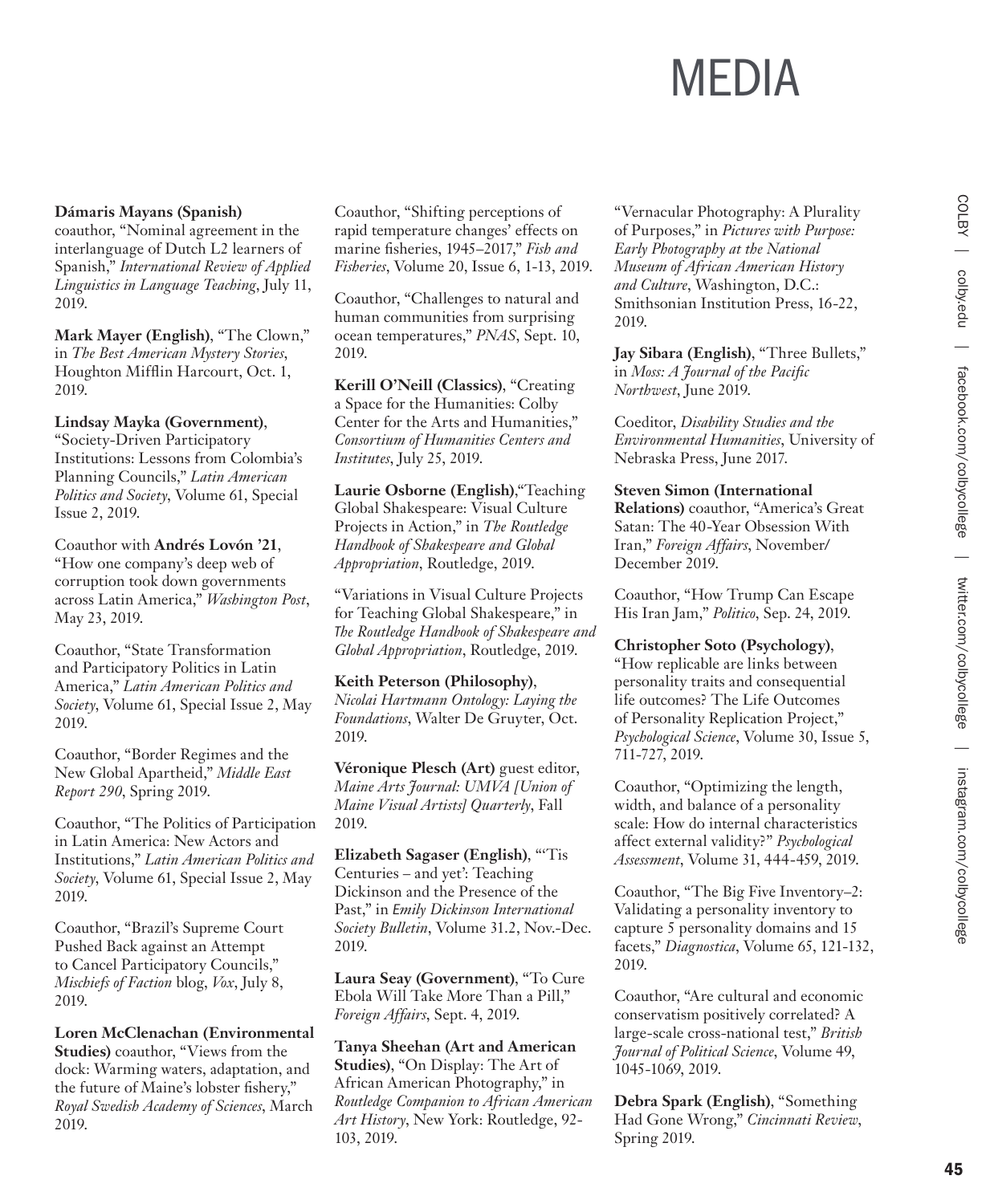#### **Dámaris Mayans (Spanish)**

coauthor, "Nominal agreement in the interlanguage of Dutch L2 learners of Spanish," *International Review of Applied Linguistics in Language Teaching*, July 11, 2019.

**Mark Mayer (English)**, "The Clown," in *The Best American Mystery Stories*, Houghton Mifflin Harcourt, Oct. 1, 2019.

#### **Lindsay Mayka (Government)**,

"Society-Driven Participatory Institutions: Lessons from Colombia's Planning Councils," *Latin American Politics and Society*, Volume 61, Special Issue 2, 2019.

Coauthor with **Andrés Lovón '21**, "How one company's deep web of corruption took down governments across Latin America," *Washington Post*, May 23, 2019.

Coauthor, "State Transformation and Participatory Politics in Latin America," *Latin American Politics and Society*, Volume 61, Special Issue 2, May 2019.

Coauthor, "Border Regimes and the New Global Apartheid," *Middle East Report 290*, Spring 2019.

Coauthor, "The Politics of Participation in Latin America: New Actors and Institutions," *Latin American Politics and Society*, Volume 61, Special Issue 2, May 2019.

Coauthor, "Brazil's Supreme Court Pushed Back against an Attempt to Cancel Participatory Councils," *Mischiefs of Faction* blog, *Vox*, July 8, 2019.

**Loren McClenachan (Environmental Studies)** coauthor, "Views from the dock: Warming waters, adaptation, and the future of Maine's lobster fishery," *Royal Swedish Academy of Sciences*, March 2019.

Coauthor, "Shifting perceptions of rapid temperature changes' effects on marine fisheries, 1945–2017," *Fish and Fisheries*, Volume 20, Issue 6, 1-13, 2019.

Coauthor, "Challenges to natural and human communities from surprising ocean temperatures," *PNAS*, Sept. 10, 2019.

**Kerill O'Neill (Classics)**, "Creating a Space for the Humanities: Colby Center for the Arts and Humanities," *Consortium of Humanities Centers and Institutes*, July 25, 2019.

**Laurie Osborne (English)**,"Teaching Global Shakespeare: Visual Culture Projects in Action," in *The Routledge Handbook of Shakespeare and Global Appropriation*, Routledge, 2019.

"Variations in Visual Culture Projects for Teaching Global Shakespeare," in *The Routledge Handbook of Shakespeare and Global Appropriation*, Routledge, 2019.

#### **Keith Peterson (Philosophy)**,

*Nicolai Hartmann Ontology: Laying the Foundations*, Walter De Gruyter, Oct. 2019.

**Véronique Plesch (Art)** guest editor, *Maine Arts Journal: UMVA [Union of Maine Visual Artists] Quarterly*, Fall 2019.

**Elizabeth Sagaser (English)**, "'Tis Centuries – and yet': Teaching Dickinson and the Presence of the Past," in *Emily Dickinson International Society Bulletin*, Volume 31.2, Nov.-Dec. 2019.

**Laura Seay (Government)**, "To Cure Ebola Will Take More Than a Pill," *Foreign Affairs*, Sept. 4, 2019.

**Tanya Sheehan (Art and American Studies)**, "On Display: The Art of African American Photography," in *Routledge Companion to African American Art History*, New York: Routledge, 92- 103, 2019.

"Vernacular Photography: A Plurality of Purposes," in *Pictures with Purpose: Early Photography at the National Museum of African American History and Culture*, Washington, D.C.: Smithsonian Institution Press, 16-22, 2019.

**Jay Sibara (English)**, "Three Bullets," in *Moss: A Journal of the Pacific Northwest*, June 2019.

Coeditor, *Disability Studies and the Environmental Humanities*, University of Nebraska Press, June 2017.

#### **Steven Simon (International**

**Relations)** coauthor, "America's Great Satan: The 40-Year Obsession With Iran," *Foreign Affairs*, November/ December 2019.

Coauthor, "How Trump Can Escape His Iran Jam," *Politico*, Sep. 24, 2019.

#### **Christopher Soto (Psychology)**,

"How replicable are links between personality traits and consequential life outcomes? The Life Outcomes of Personality Replication Project," *Psychological Science*, Volume 30, Issue 5, 711-727, 2019.

Coauthor, "Optimizing the length, width, and balance of a personality scale: How do internal characteristics affect external validity?" *Psychological Assessment*, Volume 31, 444-459, 2019.

Coauthor, "The Big Five Inventory–2: Validating a personality inventory to capture 5 personality domains and 15 facets," *Diagnostica*, Volume 65, 121-132, 2019.

Coauthor, "Are cultural and economic conservatism positively correlated? A large-scale cross-national test," *British Journal of Political Science*, Volume 49, 1045-1069, 2019.

**Debra Spark (English)**, "Something Had Gone Wrong," *Cincinnati Review*, Spring 2019.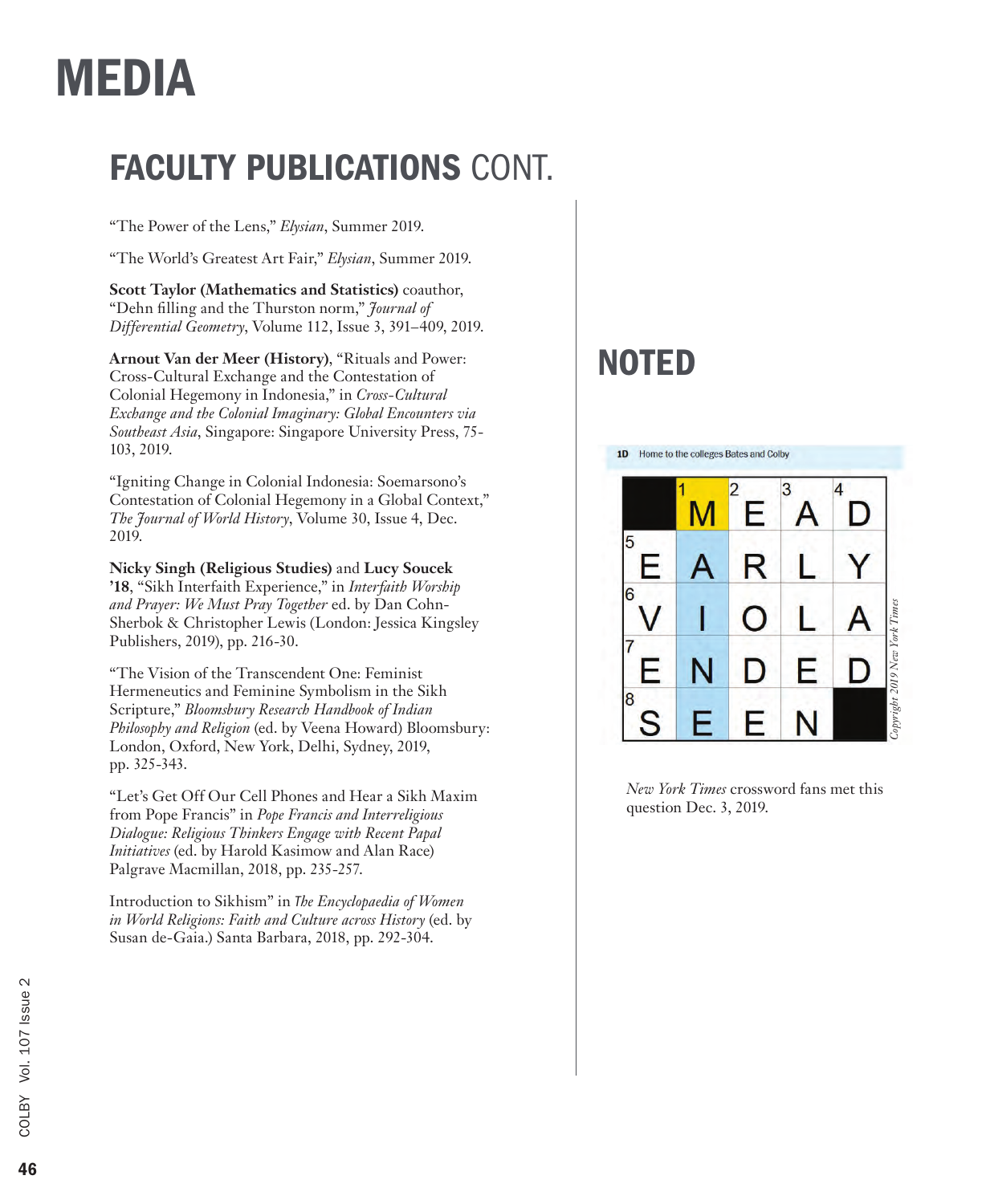### FACULTY PUBLICATIONS CONT.

"The Power of the Lens," *Elysian*, Summer 2019.

"The World's Greatest Art Fair," *Elysian*, Summer 2019.

**Scott Taylor (Mathematics and Statistics)** coauthor, "Dehn filling and the Thurston norm," *Journal of Differential Geometry*, Volume 112, Issue 3, 391–409, 2019.

**Arnout Van der Meer (History)**, "Rituals and Power: Cross-Cultural Exchange and the Contestation of Colonial Hegemony in Indonesia," in *Cross-Cultural Exchange and the Colonial Imaginary: Global Encounters via Southeast Asia*, Singapore: Singapore University Press, 75- 103, 2019.

"Igniting Change in Colonial Indonesia: Soemarsono's Contestation of Colonial Hegemony in a Global Context," *The Journal of World History*, Volume 30, Issue 4, Dec. 2019.

**Nicky Singh (Religious Studies)** and **Lucy Soucek '18**, "Sikh Interfaith Experience," in *Interfaith Worship and Prayer: We Must Pray Together* ed. by Dan Cohn-Sherbok & Christopher Lewis (London: Jessica Kingsley Publishers, 2019), pp. 216-30.

"The Vision of the Transcendent One: Feminist Hermeneutics and Feminine Symbolism in the Sikh Scripture," *Bloomsbury Research Handbook of Indian Philosophy and Religion* (ed. by Veena Howard) Bloomsbury: London, Oxford, New York, Delhi, Sydney, 2019, pp. 325-343.

"Let's Get Off Our Cell Phones and Hear a Sikh Maxim from Pope Francis" in *Pope Francis and Interreligious Dialogue: Religious Thinkers Engage with Recent Papal Initiatives* (ed. by Harold Kasimow and Alan Race) Palgrave Macmillan, 2018, pp. 235-257.

Introduction to Sikhism" in *The Encyclopaedia of Women in World Religions: Faith and Culture across History* (ed. by Susan de-Gaia.) Santa Barbara, 2018, pp. 292-304.

### NOTED

1D Home to the colleges Bates and Colby



*New York Times* crossword fans met this question Dec. 3, 2019.